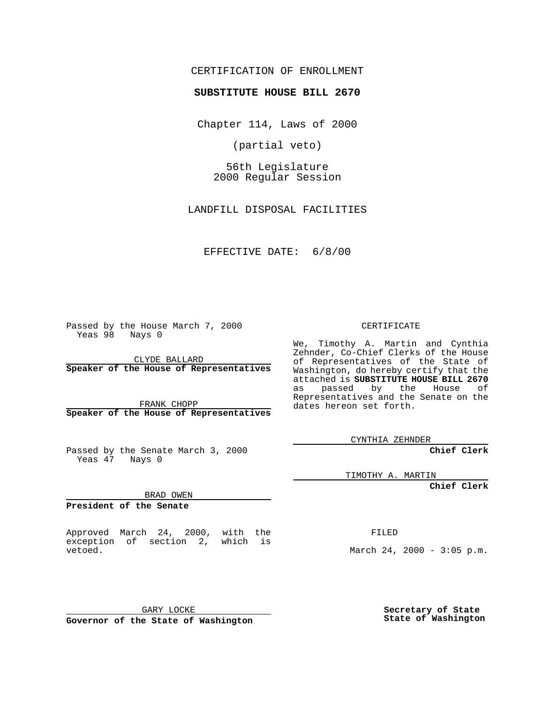#### CERTIFICATION OF ENROLLMENT

# **SUBSTITUTE HOUSE BILL 2670**

Chapter 114, Laws of 2000

(partial veto)

56th Legislature 2000 Regular Session

LANDFILL DISPOSAL FACILITIES

#### EFFECTIVE DATE: 6/8/00

Passed by the House March 7, 2000 Yeas 98 Nays 0

CLYDE BALLARD **Speaker of the House of Representatives**

FRANK CHOPP **Speaker of the House of Representatives**

Passed by the Senate March 3, 2000 Yeas 47 Nays 0

TIMOTHY A. MARTIN

**Chief Clerk**

BRAD OWEN

**President of the Senate**

Approved March 24, 2000, with the exception of section 2, which is vetoed.

FILED

March 24, 2000 - 3:05 p.m.

GARY LOCKE

**Governor of the State of Washington**

**Secretary of State State of Washington**

CERTIFICATE

We, Timothy A. Martin and Cynthia Zehnder, Co-Chief Clerks of the House of Representatives of the State of Washington, do hereby certify that the attached is **SUBSTITUTE HOUSE BILL 2670** as passed by the House of Representatives and the Senate on the dates hereon set forth.

CYNTHIA ZEHNDER

**Chief Clerk**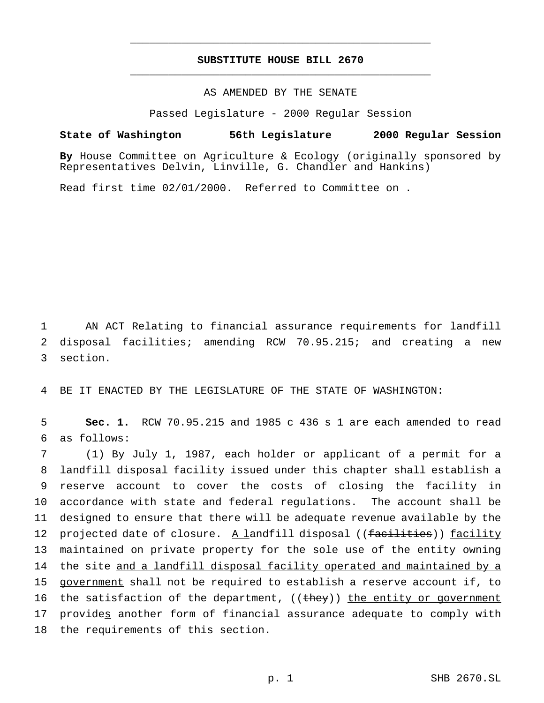# **SUBSTITUTE HOUSE BILL 2670** \_\_\_\_\_\_\_\_\_\_\_\_\_\_\_\_\_\_\_\_\_\_\_\_\_\_\_\_\_\_\_\_\_\_\_\_\_\_\_\_\_\_\_\_\_\_\_

\_\_\_\_\_\_\_\_\_\_\_\_\_\_\_\_\_\_\_\_\_\_\_\_\_\_\_\_\_\_\_\_\_\_\_\_\_\_\_\_\_\_\_\_\_\_\_

### AS AMENDED BY THE SENATE

Passed Legislature - 2000 Regular Session

**State of Washington 56th Legislature 2000 Regular Session**

**By** House Committee on Agriculture & Ecology (originally sponsored by Representatives Delvin, Linville, G. Chandler and Hankins)

Read first time 02/01/2000. Referred to Committee on .

1 AN ACT Relating to financial assurance requirements for landfill 2 disposal facilities; amending RCW 70.95.215; and creating a new 3 section.

4 BE IT ENACTED BY THE LEGISLATURE OF THE STATE OF WASHINGTON:

5 **Sec. 1.** RCW 70.95.215 and 1985 c 436 s 1 are each amended to read 6 as follows:

 (1) By July 1, 1987, each holder or applicant of a permit for a landfill disposal facility issued under this chapter shall establish a reserve account to cover the costs of closing the facility in accordance with state and federal regulations. The account shall be designed to ensure that there will be adequate revenue available by the 12 projected date of closure. A landfill disposal ((facilities)) facility maintained on private property for the sole use of the entity owning 14 the site and a landfill disposal facility operated and maintained by a government shall not be required to establish a reserve account if, to 16 the satisfaction of the department, ((they)) the entity or government provides another form of financial assurance adequate to comply with the requirements of this section.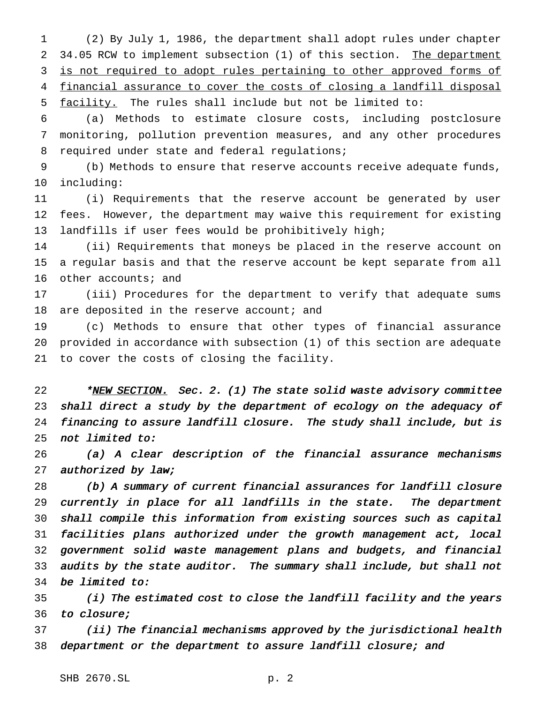(2) By July 1, 1986, the department shall adopt rules under chapter 2 34.05 RCW to implement subsection (1) of this section. The department 3 is not required to adopt rules pertaining to other approved forms of financial assurance to cover the costs of closing a landfill disposal facility. The rules shall include but not be limited to:

 (a) Methods to estimate closure costs, including postclosure monitoring, pollution prevention measures, and any other procedures required under state and federal regulations;

 (b) Methods to ensure that reserve accounts receive adequate funds, including:

 (i) Requirements that the reserve account be generated by user fees. However, the department may waive this requirement for existing landfills if user fees would be prohibitively high;

 (ii) Requirements that moneys be placed in the reserve account on a regular basis and that the reserve account be kept separate from all other accounts; and

 (iii) Procedures for the department to verify that adequate sums 18 are deposited in the reserve account; and

 (c) Methods to ensure that other types of financial assurance provided in accordance with subsection (1) of this section are adequate to cover the costs of closing the facility.

22 \*NEW SECTION. Sec. 2. (1) The state solid waste advisory committee shall direct <sup>a</sup> study by the department of ecology on the adequacy of financing to assure landfill closure. The study shall include, but is not limited to:

 (a) <sup>A</sup> clear description of the financial assurance mechanisms 27 authorized by law;

 (b) <sup>A</sup> summary of current financial assurances for landfill closure currently in place for all landfills in the state. The department shall compile this information from existing sources such as capital facilities plans authorized under the growth management act, local government solid waste management plans and budgets, and financial audits by the state auditor. The summary shall include, but shall not be limited to:

 (i) The estimated cost to close the landfill facility and the years to closure;

 (ii) The financial mechanisms approved by the jurisdictional health department or the department to assure landfill closure; and